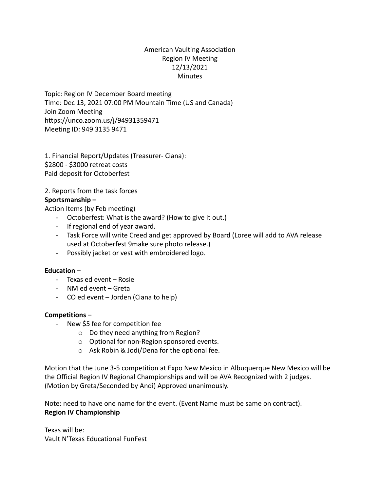# American Vaulting Association Region IV Meeting 12/13/2021 **Minutes**

Topic: Region IV December Board meeting Time: Dec 13, 2021 07:00 PM Mountain Time (US and Canada) Join Zoom Meeting https://unco.zoom.us/j/94931359471 Meeting ID: 949 3135 9471

1. Financial Report/Updates (Treasurer- Ciana): \$2800 - \$3000 retreat costs Paid deposit for Octoberfest

### 2. Reports from the task forces

### **Sportsmanship –**

Action Items (by Feb meeting)

- Octoberfest: What is the award? (How to give it out.)
- If regional end of year award.
- Task Force will write Creed and get approved by Board (Loree will add to AVA release used at Octoberfest 9make sure photo release.)
- Possibly jacket or vest with embroidered logo.

#### **Education –**

- Texas ed event Rosie
- NM ed event Greta
- CO ed event Jorden (Ciana to help)

#### **Competitions** –

- New \$5 fee for competition fee
	- o Do they need anything from Region?
	- o Optional for non-Region sponsored events.
	- o Ask Robin & Jodi/Dena for the optional fee.

Motion that the June 3-5 competition at Expo New Mexico in Albuquerque New Mexico will be the Official Region IV Regional Championships and will be AVA Recognized with 2 judges. (Motion by Greta/Seconded by Andi) Approved unanimously.

Note: need to have one name for the event. (Event Name must be same on contract). **Region IV Championship**

Texas will be: Vault N'Texas Educational FunFest